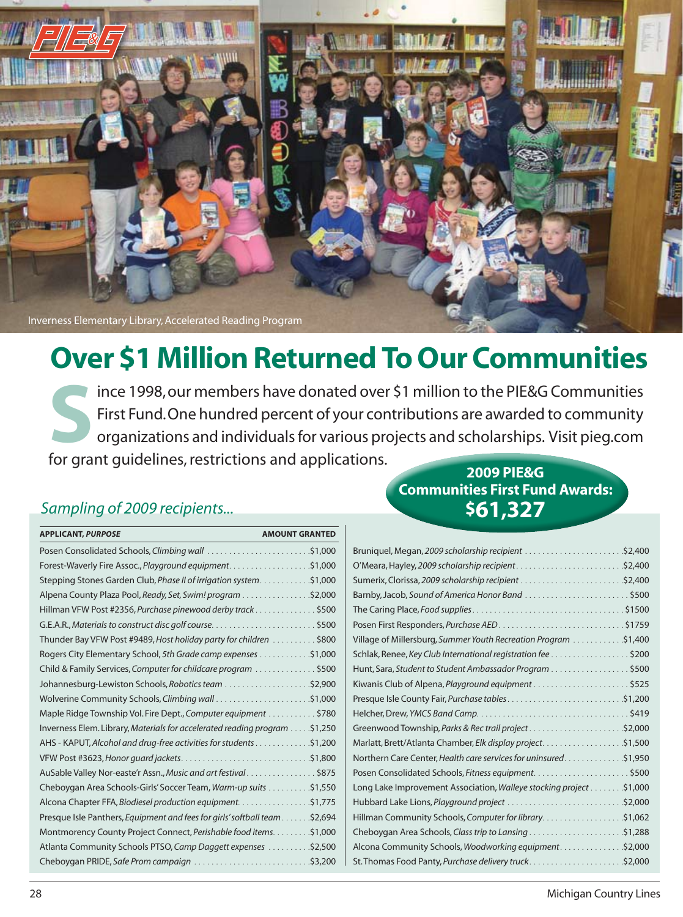

# **Over \$1 Million Returned To Our Communities**

 organizations and individuals for various projects and scholarships. Visit pieg.com Since 1998, our members have donated over \$1 million to the PIE&G Communities<br>First Fund. One hundred percent of your contributions are awarded to community<br>organizations and individuals for various projects and scholarshi First Fund.One hundred percent of your contributions are awarded to community for grant guidelines, restrictions and applications. **2009 PIE&G**

### **Sampling of 2009 recipients...** *S61,327*

| <b>APPLICANT, PURPOSE</b><br><b>AMOUNT GRANTED</b>                         |  |
|----------------------------------------------------------------------------|--|
| Posen Consolidated Schools, Climbing wall \$1,000                          |  |
|                                                                            |  |
| \$1,000. Stepping Stones Garden Club, Phase II of irrigation system.       |  |
| Alpena County Plaza Pool, Ready, Set, Swim! program \$2,000                |  |
| Hillman VFW Post #2356, Purchase pinewood derby track \$500                |  |
|                                                                            |  |
| Thunder Bay VFW Post #9489, Host holiday party for children \$800          |  |
| S1,000 Rogers City Elementary School, 5th Grade camp expenses \$1,000      |  |
| Child & Family Services, Computer for childcare program \$500              |  |
|                                                                            |  |
|                                                                            |  |
| Maple Ridge Township Vol. Fire Dept., Computer equipment \$780             |  |
| hverness Elem. Library, Materials for accelerated reading program \$1,250  |  |
| AHS - KAPUT, Alcohol and drug-free activities for students \$1,200         |  |
|                                                                            |  |
| AuSable Valley Nor-easte'r Assn., Music and art festival\$875              |  |
| Cheboygan Area Schools-Girls' Soccer Team, Warm-up suits \$1,550           |  |
| Alcona Chapter FFA, Biodiesel production equipment. \$1,775                |  |
| Presque Isle Panthers, Equipment and fees for girls' softball team \$2,694 |  |
| Montmorency County Project Connect, Perishable food items. \$1,000         |  |
| Atlanta Community Schools PTSO, Camp Daggett expenses \$2,500              |  |
|                                                                            |  |

# **Communities First Fund Awards:**

| Village of Millersburg, Summer Youth Recreation Program \$1,400     |  |
|---------------------------------------------------------------------|--|
| Schlak, Renee, Key Club International registration fee \$200        |  |
| Hunt, Sara, Student to Student Ambassador Program \$500             |  |
|                                                                     |  |
| Presque Isle County Fair, Purchase tables\$1,200                    |  |
|                                                                     |  |
|                                                                     |  |
| Marlatt, Brett/Atlanta Chamber, Elk display project. \$1,500        |  |
| Northern Care Center, Health care services for uninsured. \$1,950   |  |
|                                                                     |  |
| Long Lake Improvement Association, Walleye stocking project \$1,000 |  |
|                                                                     |  |
|                                                                     |  |
|                                                                     |  |
| Alcona Community Schools, Woodworking equipment\$2,000              |  |
|                                                                     |  |
|                                                                     |  |